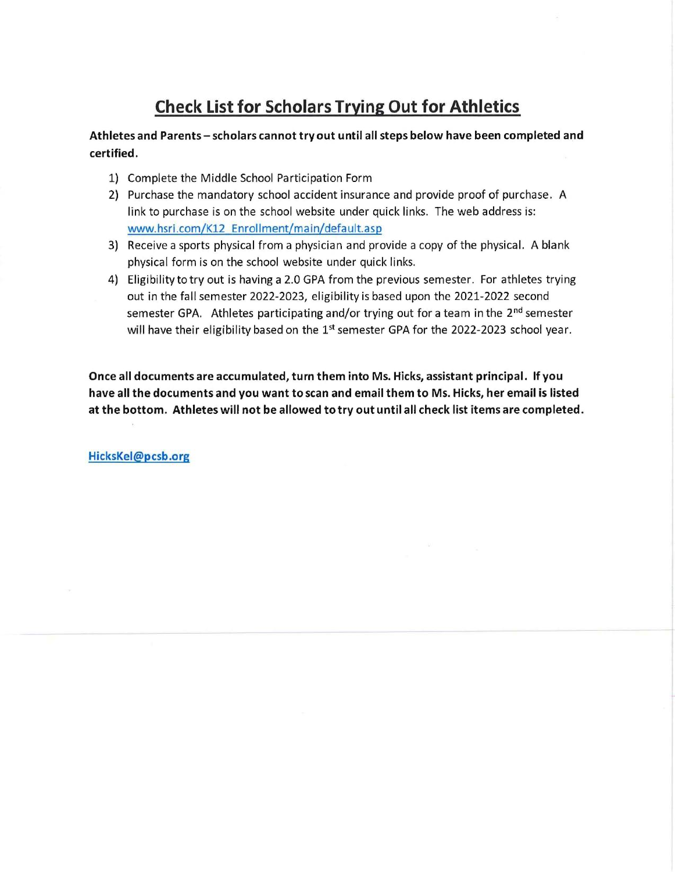# Check List for Scholars Trying Out for Athletics

Athletes and Parents - scholars cannot try out until all steps below have been completed and certified.

- 1) Complete the Middle School Participation Form
- 2) Purchase the mandatory school accident insurance and provide proof of purchase. A link to purchase is on the school website under quick links. The web address is: www.hsri.com/K12 Enrollment/main/default.asp
- 3) Receive a sports physical from a physician and provide a copy of the physical. A blank physical form is on the school website under quick links.
- 4) Eligibility to try out is having a 2.0 GPA from the previous semester. For athletes trying out in the fall semester 2022-2023, eligibility is based upon the 2021-2022 second semester GPA. Athletes participating and/or trying out for a team in the 2<sup>nd</sup> semester will have their eligibility based on the  $1<sup>st</sup>$  semester GPA for the 2022-2023 school year.

Once all documents are accumulated, turn them into Ms. Hicks, assistant principal. If you have all the documents and you want to scan and email them to Ms. Hicks, her email is listed at the bottom. Athletes will not be allowed to try out until all check list items are completed.

HicksKel@pcsb.org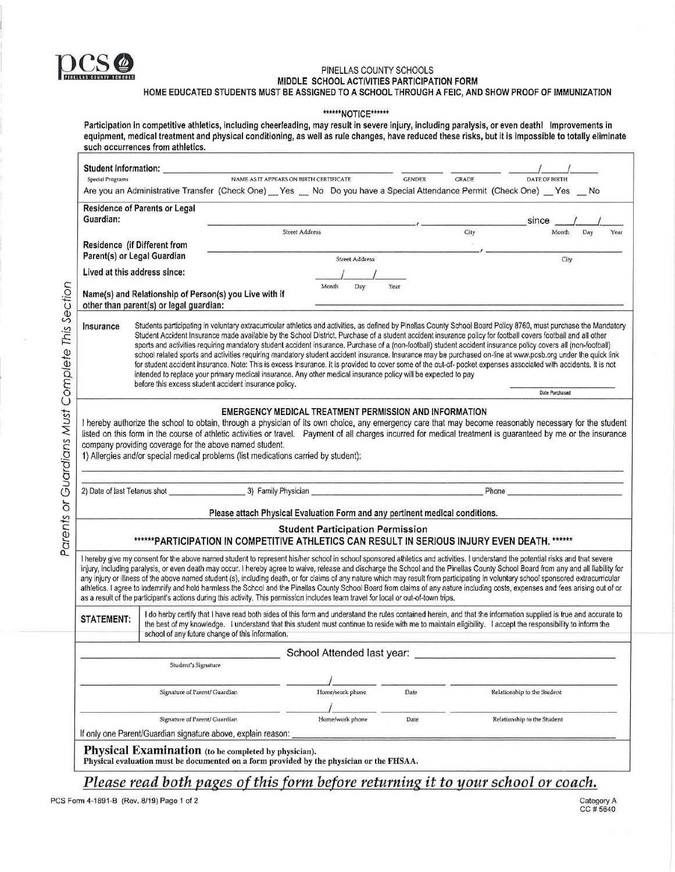

MIDDLE SCHOOL ACTIVITIES PARTICIPATION FOR

HOME EDUCATED STUDENTS MUST BE ASSIGNED TO A SCHOOL THROUGH A FEIC, AND SHOW PROOF OF IMMUNIZATION

\*\*\*\*\*\*NOTICE\*\*\*\*\*\*

| Participation in competitive athletics, including cheerleading, may result in severe injury, including paralysis, or even death! Improvements in<br>equipment, medical treatment and physical conditioning, as well as rule changes, have reduced these risks, but it is impossible to totally eliminate<br>such occurrences from athletics. |                                         |               |              |                                                                                                                                                                   |  |  |  |
|----------------------------------------------------------------------------------------------------------------------------------------------------------------------------------------------------------------------------------------------------------------------------------------------------------------------------------------------|-----------------------------------------|---------------|--------------|-------------------------------------------------------------------------------------------------------------------------------------------------------------------|--|--|--|
| <b>Student Information:</b>                                                                                                                                                                                                                                                                                                                  |                                         |               |              |                                                                                                                                                                   |  |  |  |
| Special Programs<br>A service and A strategies and the state of the state of the state of the state of the state of the state of the state of the state of the state of the state of the state of the state of the state of the state of the state                                                                                           | NAME AS IT APPEARS ON BIRTH CERTIFICATE | <b>GENDER</b> | <b>GRADE</b> | <b>DATE OF BIRTH</b><br>$\mathbf{M}$ . The contraction of the state of the state $\mathbf{M}$ and $\mathbf{M}$ and $\mathbf{M}$ and $\mathbf{M}$ and $\mathbf{M}$ |  |  |  |

Are you an Administrative Transfer (Check One) Yes No Do you have a Special Attendance Permit (Check One) Yes No

| <b>Residence of Parents or Legal</b><br>Guardian:                                                 |                       |                                                                                                                                                                                                                                                                                                                                   |      | since |     |      |
|---------------------------------------------------------------------------------------------------|-----------------------|-----------------------------------------------------------------------------------------------------------------------------------------------------------------------------------------------------------------------------------------------------------------------------------------------------------------------------------|------|-------|-----|------|
|                                                                                                   | <b>Street Address</b> |                                                                                                                                                                                                                                                                                                                                   | City | Month | Day | Year |
| <b>Residence (if Different from</b><br>Parent(s) or Legal Guardian                                |                       |                                                                                                                                                                                                                                                                                                                                   |      |       |     |      |
|                                                                                                   |                       | <b>Street Address</b>                                                                                                                                                                                                                                                                                                             |      | City  |     |      |
| Lived at this address since:                                                                      |                       |                                                                                                                                                                                                                                                                                                                                   |      |       |     |      |
| Name(s) and Relationship of Person(s) you Live with if<br>other than parent(s) or legal quardian: |                       | Month<br>Year<br>Day                                                                                                                                                                                                                                                                                                              |      |       |     |      |
| Insurance                                                                                         |                       | Students participating in voluntary extracurricular athletics and activities, as defined by Pinellas County School Board Policy 8760, must purchase the Mandatory<br>Student Accident Insurance made available by the School District, Purchase of a student accident insurance policy for football covers football and all other |      |       |     |      |

sports and activities requiring mandatory student accident insurance. Purchase of a (non-football) student accident insurance policy covers all (non-football) school related sports and activities requiring mandatory student accident insurance. Insurance may be purchased on-line at www.pcsb.org under the quick link for student accident insurance. Note: This is excess Insurance. It is provided to cover some of the out-of- pocket expenses associated with accidents. It is not intended to replace your primary medical insurance. Any other medical insurance policy will be expected to pay<br>before this excess student accident insurance policy.

#### EMERGENCY MEDICAL TREATMENT PERMISSION AND INFORMATION

I hereby authorize the school to obtain, through a physician of its own choice, any emergency care that may become reasonably necessary for the student listed on this form in the course of athletic activities or travel. Payment of all charges incurred for medical treatment is guaranteed by me or the insurance company providing coverage for the above named student.

1) Allergies and/or special medical problems (list medications carried by student):

Parents or Guardians Must Complete This Section 2) Date of last Tetanus shot 23) Family Physician 2012 12:30 Phone

Parents or Guardians Must Complete This Section

Please attach Physical Evaluation Form and any pertinent medical conditions.

# Student Participation Permission

## \*\*\*\*\*\*PARTICIPATION IN COMPETITIVE ATHLETICS CAN RESULT IN SERIOUS INJURY EVEN DEATH. \*\*\*\*\*\*

I hereby give my consent for the above named student to represent his/her school in school sponsored athletics and activities. I understand the potential risks and that severe injury, including paralysis, or even death may occur. I hereby agree to waive, release and discharge the School and the Pinellas County School Board from any and all liability for any injury or illness of the above named student (s), including death, or for claims of any nature which may result from participating in voluntary school sponsored extracurricular athletics. I agree to indemnify and hold harmless the School and the Pinellas County School Board from claims of any nature including costs, expenses and fees arising out of or as a result of the participant's actions during this activity. This permission includes team travel for local or out-of-town trips.

STATEMENT: do herby certify that I have read both sides of this form and understand the rules contained herein, and that the information supplied is true and accurate to the state of the the state of the information suppli the best of my knowledge. I understand that this student must continue to reside with me to maintain eligibility. I accept the responsibility to inform the school of any future change of this information.

|                                                              | School Attended last year: |      |                             |
|--------------------------------------------------------------|----------------------------|------|-----------------------------|
| Student's Signature                                          |                            |      |                             |
|                                                              |                            |      |                             |
| Signature of Parent/ Guardian                                | Home/work phone            | Date | Relationship to the Student |
|                                                              |                            |      |                             |
| Signature of Parent/ Guardian                                | Home/work phone            | Date | Relationship to the Student |
| If only one Parent/Guardian signature above, explain reason: |                            |      |                             |
| Physical Evamination to be completed by physician)           |                            |      |                             |

 $\mathbf{A}\mathbf{D}\mathbf{D}$  (to be completed by physician). Physical evaluation must be documented on a form provided by the physician or the FHSAA.

Please read both pages of this form before returning it to your school or coach.

Date Purchased